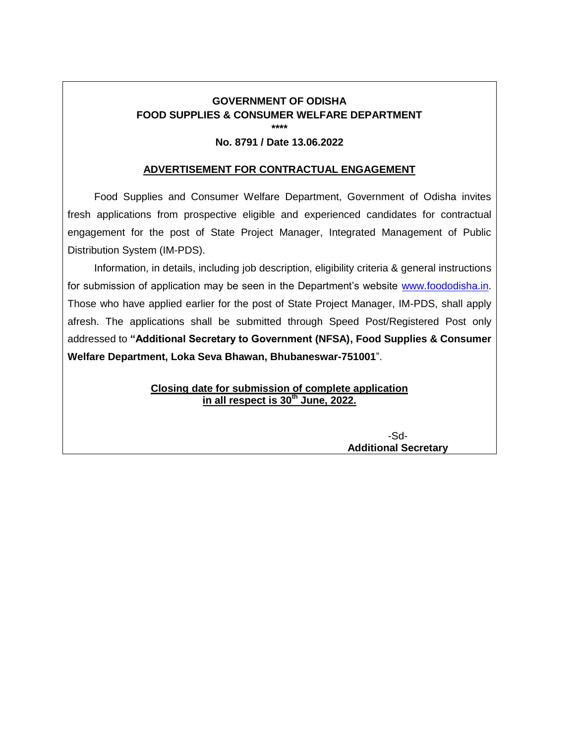# **GOVERNMENT OF ODISHA FOOD SUPPLIES & CONSUMER WELFARE DEPARTMENT \*\*\*\***

#### **No. 8791 / Date 13.06.2022**

#### **ADVERTISEMENT FOR CONTRACTUAL ENGAGEMENT**

Food Supplies and Consumer Welfare Department, Government of Odisha invites fresh applications from prospective eligible and experienced candidates for contractual engagement for the post of State Project Manager, Integrated Management of Public Distribution System (IM-PDS).

Information, in details, including job description, eligibility criteria & general instructions for submission of application may be seen in the Department's website [www.foododisha.in.](http://www.foododisha.in/) Those who have applied earlier for the post of State Project Manager, IM-PDS, shall apply afresh. The applications shall be submitted through Speed Post/Registered Post only addressed to **"Additional Secretary to Government (NFSA), Food Supplies & Consumer Welfare Department, Loka Seva Bhawan, Bhubaneswar-751001**".

> **Closing date for submission of complete application in all respect is 30th June, 2022.**

> > -Sd-**Additional Secretary**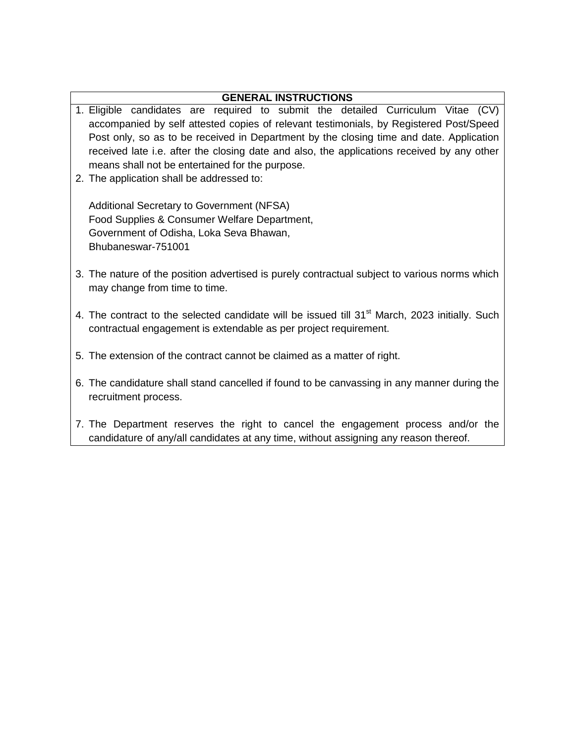# **GENERAL INSTRUCTIONS**

- 1. Eligible candidates are required to submit the detailed Curriculum Vitae (CV) accompanied by self attested copies of relevant testimonials, by Registered Post/Speed Post only, so as to be received in Department by the closing time and date. Application received late i.e. after the closing date and also, the applications received by any other means shall not be entertained for the purpose.
- 2. The application shall be addressed to:

Additional Secretary to Government (NFSA) Food Supplies & Consumer Welfare Department, Government of Odisha, Loka Seva Bhawan, Bhubaneswar-751001

- 3. The nature of the position advertised is purely contractual subject to various norms which may change from time to time.
- 4. The contract to the selected candidate will be issued till 31<sup>st</sup> March, 2023 initially. Such contractual engagement is extendable as per project requirement.
- 5. The extension of the contract cannot be claimed as a matter of right.
- 6. The candidature shall stand cancelled if found to be canvassing in any manner during the recruitment process.
- 7. The Department reserves the right to cancel the engagement process and/or the candidature of any/all candidates at any time, without assigning any reason thereof.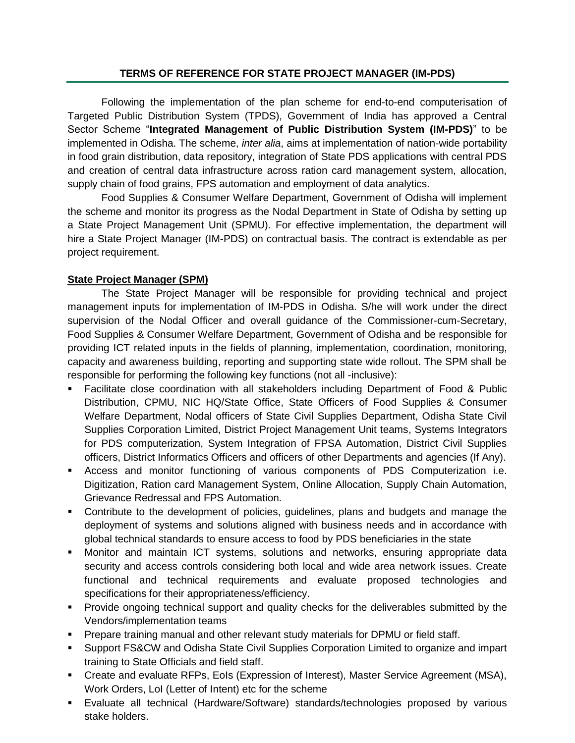# **TERMS OF REFERENCE FOR STATE PROJECT MANAGER (IM-PDS)**

Following the implementation of the plan scheme for end-to-end computerisation of Targeted Public Distribution System (TPDS), Government of India has approved a Central Sector Scheme "**Integrated Management of Public Distribution System (IM-PDS)**" to be implemented in Odisha. The scheme, *inter alia*, aims at implementation of nation-wide portability in food grain distribution, data repository, integration of State PDS applications with central PDS and creation of central data infrastructure across ration card management system, allocation, supply chain of food grains, FPS automation and employment of data analytics.

Food Supplies & Consumer Welfare Department, Government of Odisha will implement the scheme and monitor its progress as the Nodal Department in State of Odisha by setting up a State Project Management Unit (SPMU). For effective implementation, the department will hire a State Project Manager (IM-PDS) on contractual basis. The contract is extendable as per project requirement.

# **State Project Manager (SPM)**

The State Project Manager will be responsible for providing technical and project management inputs for implementation of IM-PDS in Odisha. S/he will work under the direct supervision of the Nodal Officer and overall guidance of the Commissioner-cum-Secretary, Food Supplies & Consumer Welfare Department, Government of Odisha and be responsible for providing ICT related inputs in the fields of planning, implementation, coordination, monitoring, capacity and awareness building, reporting and supporting state wide rollout. The SPM shall be responsible for performing the following key functions (not all -inclusive):

- Facilitate close coordination with all stakeholders including Department of Food & Public Distribution, CPMU, NIC HQ/State Office, State Officers of Food Supplies & Consumer Welfare Department, Nodal officers of State Civil Supplies Department, Odisha State Civil Supplies Corporation Limited, District Project Management Unit teams, Systems Integrators for PDS computerization, System Integration of FPSA Automation, District Civil Supplies officers, District Informatics Officers and officers of other Departments and agencies (If Any).
- Access and monitor functioning of various components of PDS Computerization i.e. Digitization, Ration card Management System, Online Allocation, Supply Chain Automation, Grievance Redressal and FPS Automation.
- Contribute to the development of policies, guidelines, plans and budgets and manage the deployment of systems and solutions aligned with business needs and in accordance with global technical standards to ensure access to food by PDS beneficiaries in the state
- Monitor and maintain ICT systems, solutions and networks, ensuring appropriate data security and access controls considering both local and wide area network issues. Create functional and technical requirements and evaluate proposed technologies and specifications for their appropriateness/efficiency.
- **Provide ongoing technical support and quality checks for the deliverables submitted by the** Vendors/implementation teams
- **Prepare training manual and other relevant study materials for DPMU or field staff.**
- Support FS&CW and Odisha State Civil Supplies Corporation Limited to organize and impart training to State Officials and field staff.
- Create and evaluate RFPs, EoIs (Expression of Interest), Master Service Agreement (MSA), Work Orders, LoI (Letter of Intent) etc for the scheme
- Evaluate all technical (Hardware/Software) standards/technologies proposed by various stake holders.